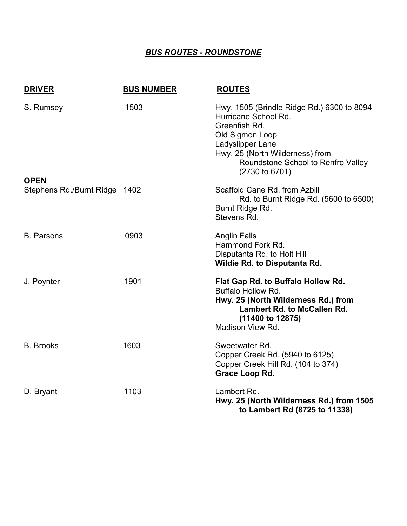## *BUS ROUTES - ROUNDSTONE*

| <b>DRIVER</b>                                | <b>BUS NUMBER</b> | <b>ROUTES</b>                                                                                                                                                                                                                    |
|----------------------------------------------|-------------------|----------------------------------------------------------------------------------------------------------------------------------------------------------------------------------------------------------------------------------|
| S. Rumsey                                    | 1503              | Hwy. 1505 (Brindle Ridge Rd.) 6300 to 8094<br>Hurricane School Rd.<br>Greenfish Rd.<br>Old Sigmon Loop<br>Ladyslipper Lane<br>Hwy. 25 (North Wilderness) from<br>Roundstone School to Renfro Valley<br>$(2730 \text{ to } 6701)$ |
| <b>OPEN</b><br>Stephens Rd./Burnt Ridge 1402 |                   | Scaffold Cane Rd. from Azbill                                                                                                                                                                                                    |
|                                              |                   | Rd. to Burnt Ridge Rd. (5600 to 6500)<br>Burnt Ridge Rd.<br>Stevens Rd.                                                                                                                                                          |
| <b>B.</b> Parsons                            | 0903              | <b>Anglin Falls</b>                                                                                                                                                                                                              |
|                                              |                   | Hammond Fork Rd.<br>Disputanta Rd. to Holt Hill<br><b>Wildie Rd. to Disputanta Rd.</b>                                                                                                                                           |
| J. Poynter                                   | 1901              | Flat Gap Rd. to Buffalo Hollow Rd.<br><b>Buffalo Hollow Rd.</b><br>Hwy. 25 (North Wilderness Rd.) from<br><b>Lambert Rd. to McCallen Rd.</b><br>(11400 to 12875)<br>Madison View Rd.                                             |
| <b>B.</b> Brooks                             | 1603              | Sweetwater Rd.<br>Copper Creek Rd. (5940 to 6125)<br>Copper Creek Hill Rd. (104 to 374)<br>Grace Loop Rd.                                                                                                                        |
| D. Bryant                                    | 1103              | Lambert Rd.<br>Hwy. 25 (North Wilderness Rd.) from 1505<br>to Lambert Rd (8725 to 11338)                                                                                                                                         |